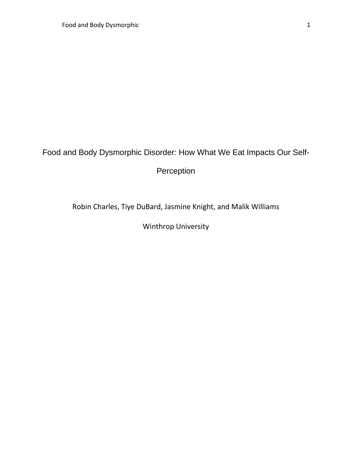## Food and Body Dysmorphic Disorder: How What We Eat Impacts Our Self-

Perception

Robin Charles, Tiye DuBard, Jasmine Knight, and Malik Williams

Winthrop University